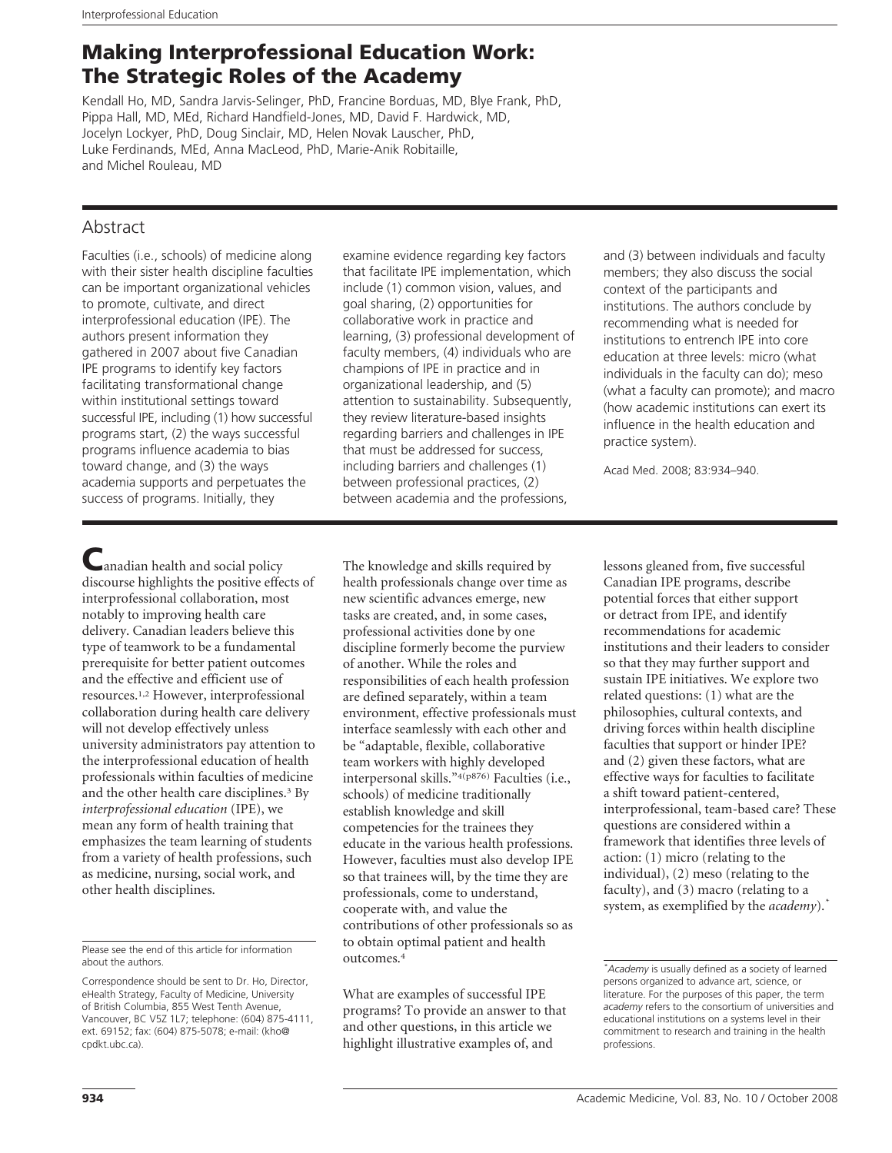# Making Interprofessional Education Work: The Strategic Roles of the Academy

Kendall Ho, MD, Sandra Jarvis-Selinger, PhD, Francine Borduas, MD, Blye Frank, PhD, Pippa Hall, MD, MEd, Richard Handfield-Jones, MD, David F. Hardwick, MD, Jocelyn Lockyer, PhD, Doug Sinclair, MD, Helen Novak Lauscher, PhD, Luke Ferdinands, MEd, Anna MacLeod, PhD, Marie-Anik Robitaille, and Michel Rouleau, MD

## Abstract

Faculties (i.e., schools) of medicine along with their sister health discipline faculties can be important organizational vehicles to promote, cultivate, and direct interprofessional education (IPE). The authors present information they gathered in 2007 about five Canadian IPE programs to identify key factors facilitating transformational change within institutional settings toward successful IPE, including (1) how successful programs start, (2) the ways successful programs influence academia to bias toward change, and (3) the ways academia supports and perpetuates the success of programs. Initially, they

examine evidence regarding key factors that facilitate IPE implementation, which include (1) common vision, values, and goal sharing, (2) opportunities for collaborative work in practice and learning, (3) professional development of faculty members, (4) individuals who are champions of IPE in practice and in organizational leadership, and (5) attention to sustainability. Subsequently, they review literature-based insights regarding barriers and challenges in IPE that must be addressed for success, including barriers and challenges (1) between professional practices, (2) between academia and the professions,

and (3) between individuals and faculty members; they also discuss the social context of the participants and institutions. The authors conclude by recommending what is needed for institutions to entrench IPE into core education at three levels: micro (what individuals in the faculty can do); meso (what a faculty can promote); and macro (how academic institutions can exert its influence in the health education and practice system).

Acad Med. 2008; 83:934–940.

anadian health and social policy discourse highlights the positive effects of interprofessional collaboration, most notably to improving health care delivery. Canadian leaders believe this type of teamwork to be a fundamental prerequisite for better patient outcomes and the effective and efficient use of resources.1,2 However, interprofessional collaboration during health care delivery will not develop effectively unless university administrators pay attention to the interprofessional education of health professionals within faculties of medicine and the other health care disciplines.<sup>3</sup> By *interprofessional education* (IPE), we mean any form of health training that emphasizes the team learning of students from a variety of health professions, such as medicine, nursing, social work, and other health disciplines.

The knowledge and skills required by health professionals change over time as new scientific advances emerge, new tasks are created, and, in some cases, professional activities done by one discipline formerly become the purview of another. While the roles and responsibilities of each health profession are defined separately, within a team environment, effective professionals must interface seamlessly with each other and be "adaptable, flexible, collaborative team workers with highly developed interpersonal skills."4(p876) Faculties (i.e., schools) of medicine traditionally establish knowledge and skill competencies for the trainees they educate in the various health professions. However, faculties must also develop IPE so that trainees will, by the time they are professionals, come to understand, cooperate with, and value the contributions of other professionals so as to obtain optimal patient and health outcomes.4

What are examples of successful IPE programs? To provide an answer to that and other questions, in this article we highlight illustrative examples of, and

lessons gleaned from, five successful Canadian IPE programs, describe potential forces that either support or detract from IPE, and identify recommendations for academic institutions and their leaders to consider so that they may further support and sustain IPE initiatives. We explore two related questions: (1) what are the philosophies, cultural contexts, and driving forces within health discipline faculties that support or hinder IPE? and (2) given these factors, what are effective ways for faculties to facilitate a shift toward patient-centered, interprofessional, team-based care? These questions are considered within a framework that identifies three levels of action: (1) micro (relating to the individual), (2) meso (relating to the faculty), and (3) macro (relating to a system, as exemplified by the *academy*).*\**

Please see the end of this article for information about the authors.

Correspondence should be sent to Dr. Ho, Director, eHealth Strategy, Faculty of Medicine, University of British Columbia, 855 West Tenth Avenue, Vancouver, BC V5Z 1L7; telephone: (604) 875-4111, ext. 69152; fax: (604) 875-5078; e-mail: (kho@ cpdkt.ubc.ca).

*<sup>\*</sup> Academy* is usually defined as a society of learned persons organized to advance art, science, or literature. For the purposes of this paper, the term *academy* refers to the consortium of universities and educational institutions on a systems level in their commitment to research and training in the health professions.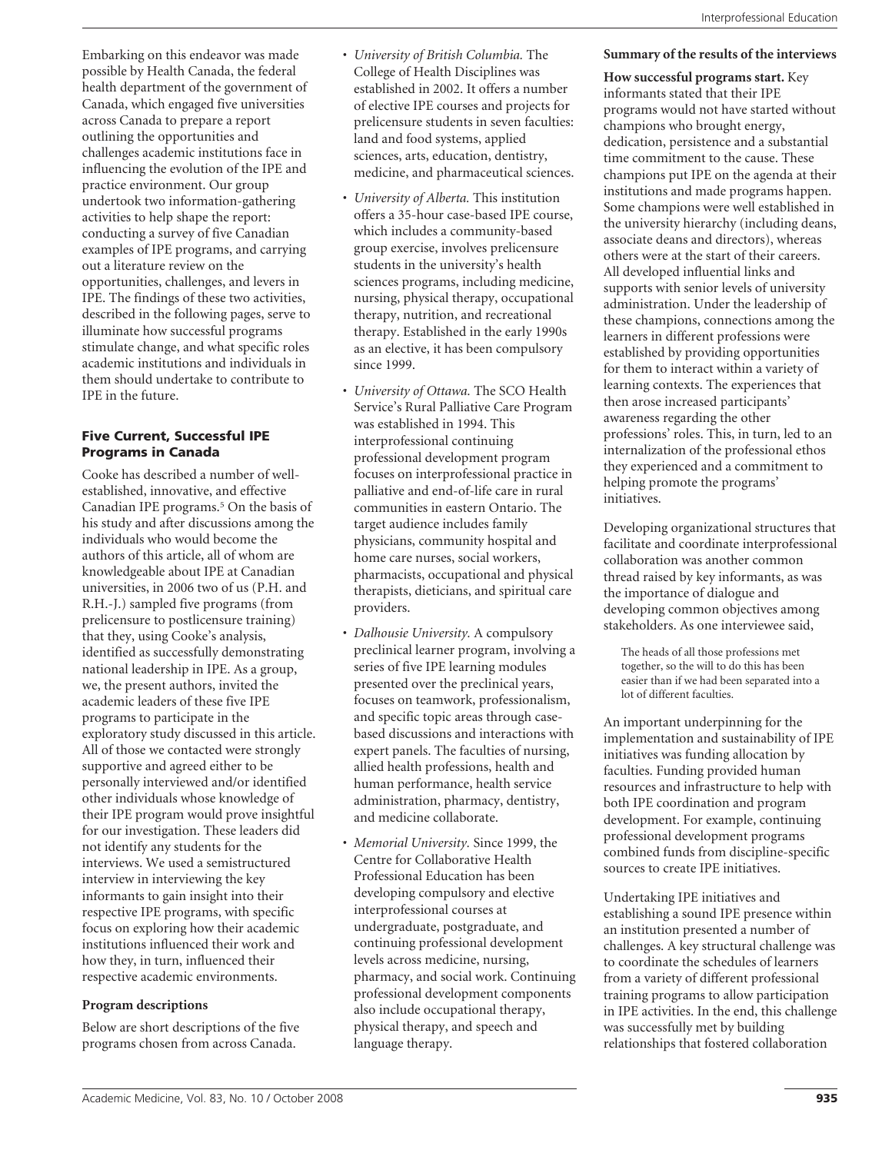Embarking on this endeavor was made possible by Health Canada, the federal health department of the government of Canada, which engaged five universities across Canada to prepare a report outlining the opportunities and challenges academic institutions face in influencing the evolution of the IPE and practice environment. Our group undertook two information-gathering activities to help shape the report: conducting a survey of five Canadian examples of IPE programs, and carrying out a literature review on the opportunities, challenges, and levers in IPE. The findings of these two activities, described in the following pages, serve to illuminate how successful programs stimulate change, and what specific roles academic institutions and individuals in them should undertake to contribute to IPE in the future.

#### Five Current, Successful IPE Programs in Canada

Cooke has described a number of wellestablished, innovative, and effective Canadian IPE programs.5 On the basis of his study and after discussions among the individuals who would become the authors of this article, all of whom are knowledgeable about IPE at Canadian universities, in 2006 two of us (P.H. and R.H.-J.) sampled five programs (from prelicensure to postlicensure training) that they, using Cooke's analysis, identified as successfully demonstrating national leadership in IPE. As a group, we, the present authors, invited the academic leaders of these five IPE programs to participate in the exploratory study discussed in this article. All of those we contacted were strongly supportive and agreed either to be personally interviewed and/or identified other individuals whose knowledge of their IPE program would prove insightful for our investigation. These leaders did not identify any students for the interviews. We used a semistructured interview in interviewing the key informants to gain insight into their respective IPE programs, with specific focus on exploring how their academic institutions influenced their work and how they, in turn, influenced their respective academic environments.

## **Program descriptions**

Below are short descriptions of the five programs chosen from across Canada.

- *University of British Columbia.* The College of Health Disciplines was established in 2002. It offers a number of elective IPE courses and projects for prelicensure students in seven faculties: land and food systems, applied sciences, arts, education, dentistry, medicine, and pharmaceutical sciences.
- *University of Alberta.* This institution offers a 35-hour case-based IPE course, which includes a community-based group exercise, involves prelicensure students in the university's health sciences programs, including medicine, nursing, physical therapy, occupational therapy, nutrition, and recreational therapy. Established in the early 1990s as an elective, it has been compulsory since 1999.
- *University of Ottawa.* The SCO Health Service's Rural Palliative Care Program was established in 1994. This interprofessional continuing professional development program focuses on interprofessional practice in palliative and end-of-life care in rural communities in eastern Ontario. The target audience includes family physicians, community hospital and home care nurses, social workers, pharmacists, occupational and physical therapists, dieticians, and spiritual care providers.
- *Dalhousie University.* A compulsory preclinical learner program, involving a series of five IPE learning modules presented over the preclinical years, focuses on teamwork, professionalism, and specific topic areas through casebased discussions and interactions with expert panels. The faculties of nursing, allied health professions, health and human performance, health service administration, pharmacy, dentistry, and medicine collaborate.
- *Memorial University.* Since 1999, the Centre for Collaborative Health Professional Education has been developing compulsory and elective interprofessional courses at undergraduate, postgraduate, and continuing professional development levels across medicine, nursing, pharmacy, and social work. Continuing professional development components also include occupational therapy, physical therapy, and speech and language therapy.

## **Summary of the results of the interviews**

**How successful programs start.** Key informants stated that their IPE programs would not have started without champions who brought energy, dedication, persistence and a substantial time commitment to the cause. These champions put IPE on the agenda at their institutions and made programs happen. Some champions were well established in the university hierarchy (including deans, associate deans and directors), whereas others were at the start of their careers. All developed influential links and supports with senior levels of university administration. Under the leadership of these champions, connections among the learners in different professions were established by providing opportunities for them to interact within a variety of learning contexts. The experiences that then arose increased participants' awareness regarding the other professions' roles. This, in turn, led to an internalization of the professional ethos they experienced and a commitment to helping promote the programs' initiatives.

Developing organizational structures that facilitate and coordinate interprofessional collaboration was another common thread raised by key informants, as was the importance of dialogue and developing common objectives among stakeholders. As one interviewee said,

The heads of all those professions met together, so the will to do this has been easier than if we had been separated into a lot of different faculties.

An important underpinning for the implementation and sustainability of IPE initiatives was funding allocation by faculties. Funding provided human resources and infrastructure to help with both IPE coordination and program development. For example, continuing professional development programs combined funds from discipline-specific sources to create IPE initiatives.

Undertaking IPE initiatives and establishing a sound IPE presence within an institution presented a number of challenges. A key structural challenge was to coordinate the schedules of learners from a variety of different professional training programs to allow participation in IPE activities. In the end, this challenge was successfully met by building relationships that fostered collaboration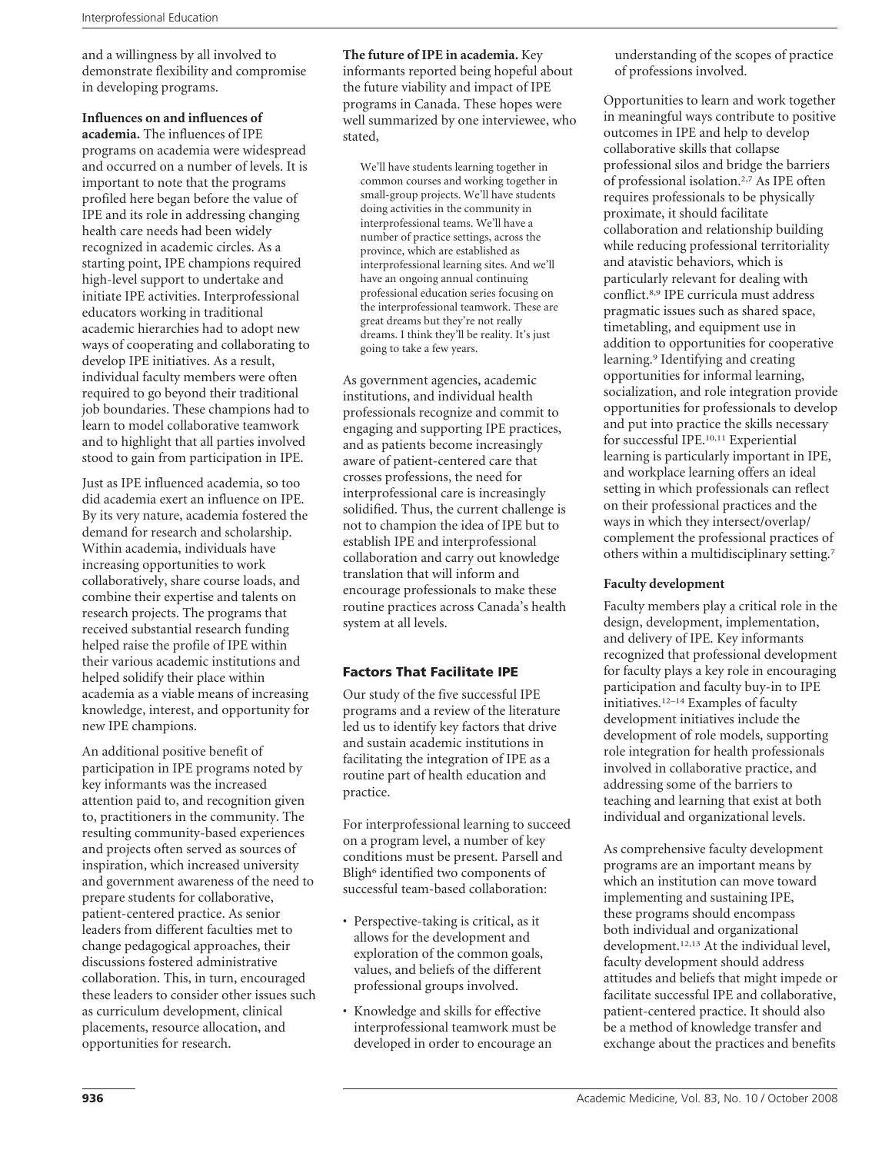and a willingness by all involved to demonstrate flexibility and compromise in developing programs.

#### **Influences on and influences of**

**academia.** The influences of IPE programs on academia were widespread and occurred on a number of levels. It is important to note that the programs profiled here began before the value of IPE and its role in addressing changing health care needs had been widely recognized in academic circles. As a starting point, IPE champions required high-level support to undertake and initiate IPE activities. Interprofessional educators working in traditional academic hierarchies had to adopt new ways of cooperating and collaborating to develop IPE initiatives. As a result, individual faculty members were often required to go beyond their traditional job boundaries. These champions had to learn to model collaborative teamwork and to highlight that all parties involved stood to gain from participation in IPE.

Just as IPE influenced academia, so too did academia exert an influence on IPE. By its very nature, academia fostered the demand for research and scholarship. Within academia, individuals have increasing opportunities to work collaboratively, share course loads, and combine their expertise and talents on research projects. The programs that received substantial research funding helped raise the profile of IPE within their various academic institutions and helped solidify their place within academia as a viable means of increasing knowledge, interest, and opportunity for new IPE champions.

An additional positive benefit of participation in IPE programs noted by key informants was the increased attention paid to, and recognition given to, practitioners in the community. The resulting community-based experiences and projects often served as sources of inspiration, which increased university and government awareness of the need to prepare students for collaborative, patient-centered practice. As senior leaders from different faculties met to change pedagogical approaches, their discussions fostered administrative collaboration. This, in turn, encouraged these leaders to consider other issues such as curriculum development, clinical placements, resource allocation, and opportunities for research.

**The future of IPE in academia.** Key informants reported being hopeful about the future viability and impact of IPE programs in Canada. These hopes were well summarized by one interviewee, who stated,

We'll have students learning together in common courses and working together in small-group projects. We'll have students doing activities in the community in interprofessional teams. We'll have a number of practice settings, across the province, which are established as interprofessional learning sites. And we'll have an ongoing annual continuing professional education series focusing on the interprofessional teamwork. These are great dreams but they're not really dreams. I think they'll be reality. It's just going to take a few years.

As government agencies, academic institutions, and individual health professionals recognize and commit to engaging and supporting IPE practices, and as patients become increasingly aware of patient-centered care that crosses professions, the need for interprofessional care is increasingly solidified. Thus, the current challenge is not to champion the idea of IPE but to establish IPE and interprofessional collaboration and carry out knowledge translation that will inform and encourage professionals to make these routine practices across Canada's health system at all levels.

## Factors That Facilitate IPE

Our study of the five successful IPE programs and a review of the literature led us to identify key factors that drive and sustain academic institutions in facilitating the integration of IPE as a routine part of health education and practice.

For interprofessional learning to succeed on a program level, a number of key conditions must be present. Parsell and Bligh<sup>6</sup> identified two components of successful team-based collaboration:

- Perspective-taking is critical, as it allows for the development and exploration of the common goals, values, and beliefs of the different professional groups involved.
- Knowledge and skills for effective interprofessional teamwork must be developed in order to encourage an

understanding of the scopes of practice of professions involved.

Opportunities to learn and work together in meaningful ways contribute to positive outcomes in IPE and help to develop collaborative skills that collapse professional silos and bridge the barriers of professional isolation.2,7 As IPE often requires professionals to be physically proximate, it should facilitate collaboration and relationship building while reducing professional territoriality and atavistic behaviors, which is particularly relevant for dealing with conflict.8,9 IPE curricula must address pragmatic issues such as shared space, timetabling, and equipment use in addition to opportunities for cooperative learning.9 Identifying and creating opportunities for informal learning, socialization, and role integration provide opportunities for professionals to develop and put into practice the skills necessary for successful IPE.10,11 Experiential learning is particularly important in IPE, and workplace learning offers an ideal setting in which professionals can reflect on their professional practices and the ways in which they intersect/overlap/ complement the professional practices of others within a multidisciplinary setting.7

#### **Faculty development**

Faculty members play a critical role in the design, development, implementation, and delivery of IPE. Key informants recognized that professional development for faculty plays a key role in encouraging participation and faculty buy-in to IPE initiatives.12–14 Examples of faculty development initiatives include the development of role models, supporting role integration for health professionals involved in collaborative practice, and addressing some of the barriers to teaching and learning that exist at both individual and organizational levels.

As comprehensive faculty development programs are an important means by which an institution can move toward implementing and sustaining IPE, these programs should encompass both individual and organizational development.12,13 At the individual level, faculty development should address attitudes and beliefs that might impede or facilitate successful IPE and collaborative, patient-centered practice. It should also be a method of knowledge transfer and exchange about the practices and benefits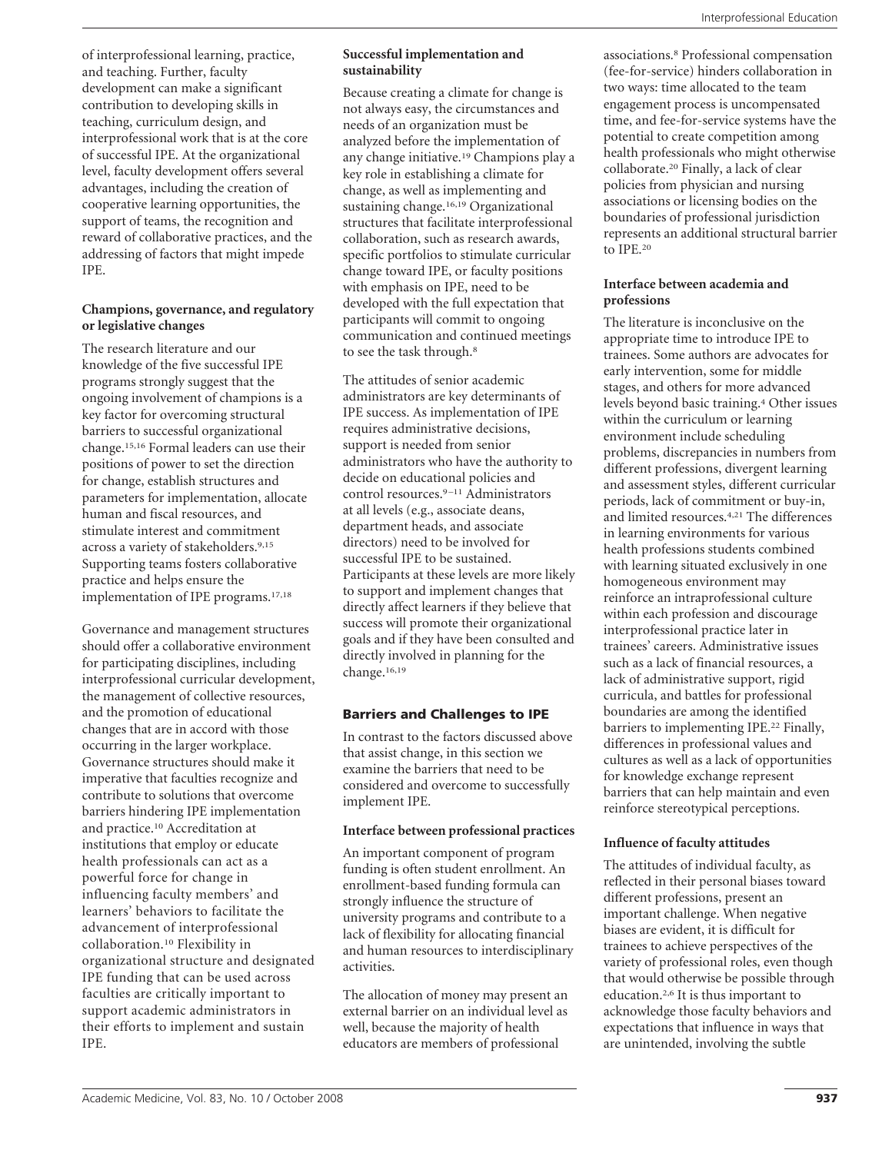of interprofessional learning, practice, and teaching. Further, faculty development can make a significant contribution to developing skills in teaching, curriculum design, and interprofessional work that is at the core of successful IPE. At the organizational level, faculty development offers several advantages, including the creation of cooperative learning opportunities, the support of teams, the recognition and reward of collaborative practices, and the addressing of factors that might impede IPE.

## **Champions, governance, and regulatory or legislative changes**

The research literature and our knowledge of the five successful IPE programs strongly suggest that the ongoing involvement of champions is a key factor for overcoming structural barriers to successful organizational change.15,16 Formal leaders can use their positions of power to set the direction for change, establish structures and parameters for implementation, allocate human and fiscal resources, and stimulate interest and commitment across a variety of stakeholders.9,15 Supporting teams fosters collaborative practice and helps ensure the implementation of IPE programs.17,18

Governance and management structures should offer a collaborative environment for participating disciplines, including interprofessional curricular development, the management of collective resources, and the promotion of educational changes that are in accord with those occurring in the larger workplace. Governance structures should make it imperative that faculties recognize and contribute to solutions that overcome barriers hindering IPE implementation and practice.10 Accreditation at institutions that employ or educate health professionals can act as a powerful force for change in influencing faculty members' and learners' behaviors to facilitate the advancement of interprofessional collaboration.10 Flexibility in organizational structure and designated IPE funding that can be used across faculties are critically important to support academic administrators in their efforts to implement and sustain IPE.

## **Successful implementation and sustainability**

Because creating a climate for change is not always easy, the circumstances and needs of an organization must be analyzed before the implementation of any change initiative.19 Champions play a key role in establishing a climate for change, as well as implementing and sustaining change.16,19 Organizational structures that facilitate interprofessional collaboration, such as research awards, specific portfolios to stimulate curricular change toward IPE, or faculty positions with emphasis on IPE, need to be developed with the full expectation that participants will commit to ongoing communication and continued meetings to see the task through.<sup>8</sup>

The attitudes of senior academic administrators are key determinants of IPE success. As implementation of IPE requires administrative decisions, support is needed from senior administrators who have the authority to decide on educational policies and control resources.<sup>9-11</sup> Administrators at all levels (e.g., associate deans, department heads, and associate directors) need to be involved for successful IPE to be sustained. Participants at these levels are more likely to support and implement changes that directly affect learners if they believe that success will promote their organizational goals and if they have been consulted and directly involved in planning for the change.16,19

## Barriers and Challenges to IPE

In contrast to the factors discussed above that assist change, in this section we examine the barriers that need to be considered and overcome to successfully implement IPE.

## **Interface between professional practices**

An important component of program funding is often student enrollment. An enrollment-based funding formula can strongly influence the structure of university programs and contribute to a lack of flexibility for allocating financial and human resources to interdisciplinary activities.

The allocation of money may present an external barrier on an individual level as well, because the majority of health educators are members of professional

associations.8 Professional compensation (fee-for-service) hinders collaboration in two ways: time allocated to the team engagement process is uncompensated time, and fee-for-service systems have the potential to create competition among health professionals who might otherwise collaborate.20 Finally, a lack of clear policies from physician and nursing associations or licensing bodies on the boundaries of professional jurisdiction represents an additional structural barrier to IPE.20

### **Interface between academia and professions**

The literature is inconclusive on the appropriate time to introduce IPE to trainees. Some authors are advocates for early intervention, some for middle stages, and others for more advanced levels beyond basic training.4 Other issues within the curriculum or learning environment include scheduling problems, discrepancies in numbers from different professions, divergent learning and assessment styles, different curricular periods, lack of commitment or buy-in, and limited resources.4,21 The differences in learning environments for various health professions students combined with learning situated exclusively in one homogeneous environment may reinforce an intraprofessional culture within each profession and discourage interprofessional practice later in trainees' careers. Administrative issues such as a lack of financial resources, a lack of administrative support, rigid curricula, and battles for professional boundaries are among the identified barriers to implementing IPE.<sup>22</sup> Finally, differences in professional values and cultures as well as a lack of opportunities for knowledge exchange represent barriers that can help maintain and even reinforce stereotypical perceptions.

## **Influence of faculty attitudes**

The attitudes of individual faculty, as reflected in their personal biases toward different professions, present an important challenge. When negative biases are evident, it is difficult for trainees to achieve perspectives of the variety of professional roles, even though that would otherwise be possible through education.2,6 It is thus important to acknowledge those faculty behaviors and expectations that influence in ways that are unintended, involving the subtle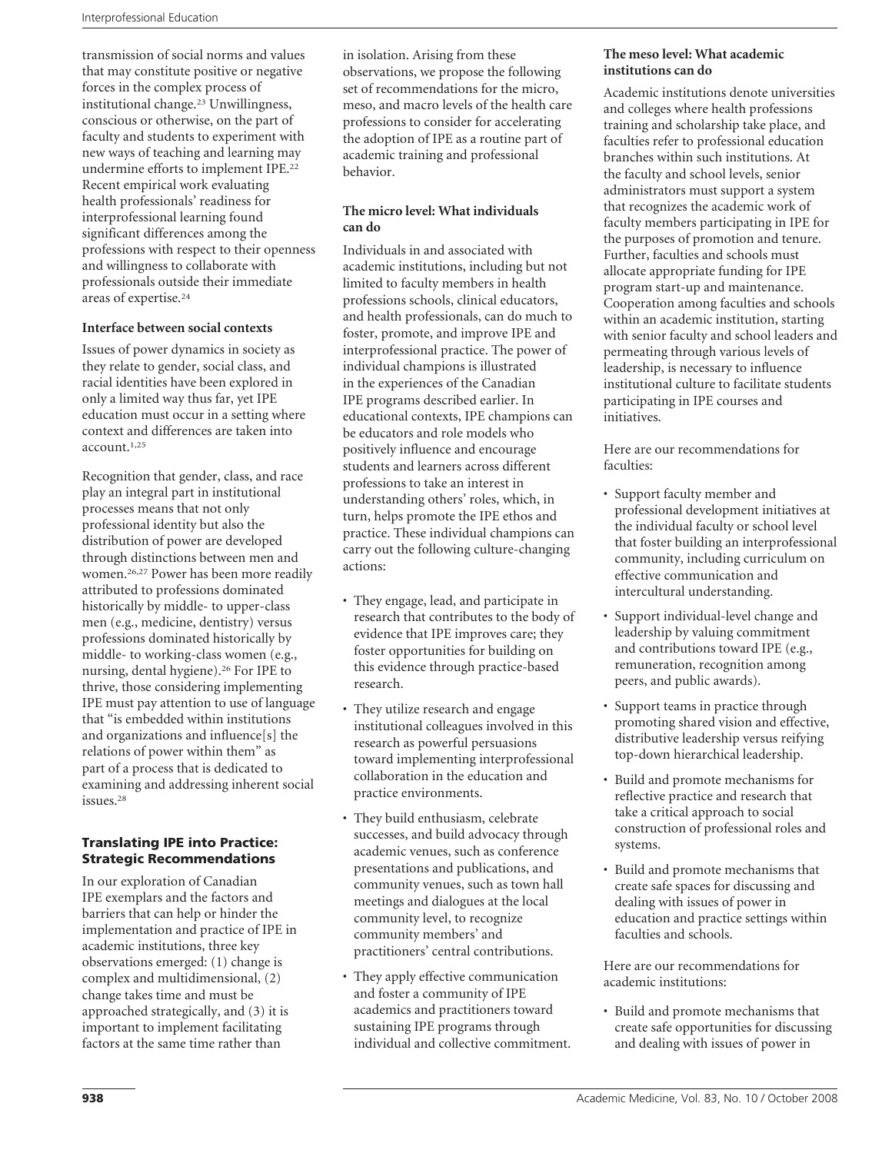transmission of social norms and values that may constitute positive or negative forces in the complex process of institutional change.23 Unwillingness, conscious or otherwise, on the part of faculty and students to experiment with new ways of teaching and learning may undermine efforts to implement IPE.22 Recent empirical work evaluating health professionals' readiness for interprofessional learning found significant differences among the professions with respect to their openness and willingness to collaborate with professionals outside their immediate areas of expertise.24

#### **Interface between social contexts**

Issues of power dynamics in society as they relate to gender, social class, and racial identities have been explored in only a limited way thus far, yet IPE education must occur in a setting where context and differences are taken into account.1,25

Recognition that gender, class, and race play an integral part in institutional processes means that not only professional identity but also the distribution of power are developed through distinctions between men and women.26,27 Power has been more readily attributed to professions dominated historically by middle- to upper-class men (e.g., medicine, dentistry) versus professions dominated historically by middle- to working-class women (e.g., nursing, dental hygiene).26 For IPE to thrive, those considering implementing IPE must pay attention to use of language that "is embedded within institutions and organizations and influence[s] the relations of power within them" as part of a process that is dedicated to examining and addressing inherent social issues.28

### Translating IPE into Practice: Strategic Recommendations

In our exploration of Canadian IPE exemplars and the factors and barriers that can help or hinder the implementation and practice of IPE in academic institutions, three key observations emerged: (1) change is complex and multidimensional, (2) change takes time and must be approached strategically, and (3) it is important to implement facilitating factors at the same time rather than

in isolation. Arising from these observations, we propose the following set of recommendations for the micro, meso, and macro levels of the health care professions to consider for accelerating the adoption of IPE as a routine part of academic training and professional behavior.

### **The micro level: What individuals can do**

Individuals in and associated with academic institutions, including but not limited to faculty members in health professions schools, clinical educators, and health professionals, can do much to foster, promote, and improve IPE and interprofessional practice. The power of individual champions is illustrated in the experiences of the Canadian IPE programs described earlier. In educational contexts, IPE champions can be educators and role models who positively influence and encourage students and learners across different professions to take an interest in understanding others' roles, which, in turn, helps promote the IPE ethos and practice. These individual champions can carry out the following culture-changing actions:

- They engage, lead, and participate in research that contributes to the body of evidence that IPE improves care; they foster opportunities for building on this evidence through practice-based research.
- They utilize research and engage institutional colleagues involved in this research as powerful persuasions toward implementing interprofessional collaboration in the education and practice environments.
- They build enthusiasm, celebrate successes, and build advocacy through academic venues, such as conference presentations and publications, and community venues, such as town hall meetings and dialogues at the local community level, to recognize community members' and practitioners' central contributions.
- They apply effective communication and foster a community of IPE academics and practitioners toward sustaining IPE programs through individual and collective commitment.

#### **The meso level: What academic institutions can do**

Academic institutions denote universities and colleges where health professions training and scholarship take place, and faculties refer to professional education branches within such institutions. At the faculty and school levels, senior administrators must support a system that recognizes the academic work of faculty members participating in IPE for the purposes of promotion and tenure. Further, faculties and schools must allocate appropriate funding for IPE program start-up and maintenance. Cooperation among faculties and schools within an academic institution, starting with senior faculty and school leaders and permeating through various levels of leadership, is necessary to influence institutional culture to facilitate students participating in IPE courses and initiatives.

Here are our recommendations for faculties:

- Support faculty member and professional development initiatives at the individual faculty or school level that foster building an interprofessional community, including curriculum on effective communication and intercultural understanding.
- Support individual-level change and leadership by valuing commitment and contributions toward IPE (e.g., remuneration, recognition among peers, and public awards).
- Support teams in practice through promoting shared vision and effective, distributive leadership versus reifying top-down hierarchical leadership.
- Build and promote mechanisms for reflective practice and research that take a critical approach to social construction of professional roles and systems.
- Build and promote mechanisms that create safe spaces for discussing and dealing with issues of power in education and practice settings within faculties and schools.

Here are our recommendations for academic institutions:

• Build and promote mechanisms that create safe opportunities for discussing and dealing with issues of power in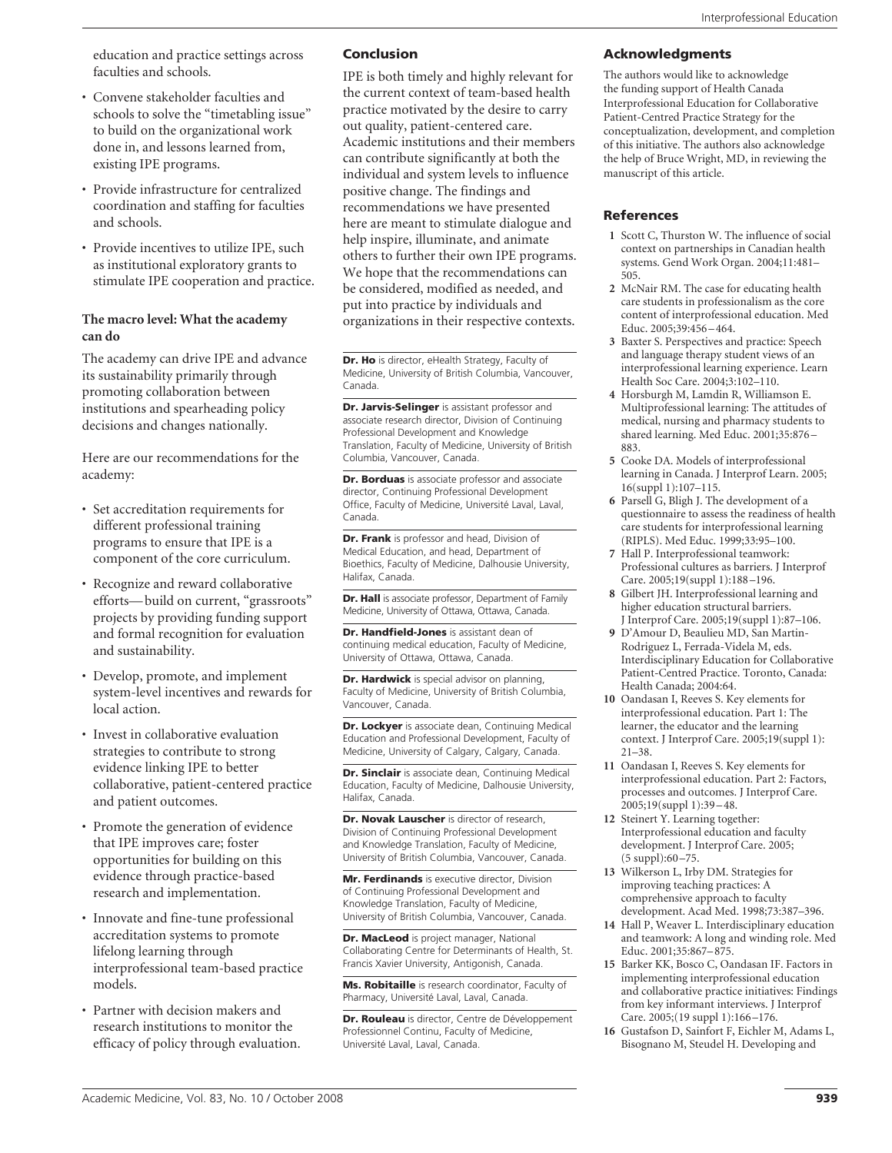education and practice settings across faculties and schools.

- Convene stakeholder faculties and schools to solve the "timetabling issue" to build on the organizational work done in, and lessons learned from, existing IPE programs.
- Provide infrastructure for centralized coordination and staffing for faculties and schools.
- Provide incentives to utilize IPE, such as institutional exploratory grants to stimulate IPE cooperation and practice.

#### **The macro level: What the academy can do**

The academy can drive IPE and advance its sustainability primarily through promoting collaboration between institutions and spearheading policy decisions and changes nationally.

Here are our recommendations for the academy:

- Set accreditation requirements for different professional training programs to ensure that IPE is a component of the core curriculum.
- Recognize and reward collaborative efforts— build on current, "grassroots" projects by providing funding support and formal recognition for evaluation and sustainability.
- Develop, promote, and implement system-level incentives and rewards for local action.
- Invest in collaborative evaluation strategies to contribute to strong evidence linking IPE to better collaborative, patient-centered practice and patient outcomes.
- Promote the generation of evidence that IPE improves care; foster opportunities for building on this evidence through practice-based research and implementation.
- Innovate and fine-tune professional accreditation systems to promote lifelong learning through interprofessional team-based practice models.
- Partner with decision makers and research institutions to monitor the efficacy of policy through evaluation.

#### Conclusion

IPE is both timely and highly relevant for the current context of team-based health practice motivated by the desire to carry out quality, patient-centered care. Academic institutions and their members can contribute significantly at both the individual and system levels to influence positive change. The findings and recommendations we have presented here are meant to stimulate dialogue and help inspire, illuminate, and animate others to further their own IPE programs. We hope that the recommendations can be considered, modified as needed, and put into practice by individuals and organizations in their respective contexts.

Dr. Ho is director, eHealth Strategy, Faculty of Medicine, University of British Columbia, Vancouver, Canada.

Dr. Jarvis-Selinger is assistant professor and associate research director, Division of Continuing Professional Development and Knowledge Translation, Faculty of Medicine, University of British Columbia, Vancouver, Canada.

Dr. Borduas is associate professor and associate director, Continuing Professional Development Office, Faculty of Medicine, Université Laval, Laval, Canada.

Dr. Frank is professor and head, Division of Medical Education, and head, Department of Bioethics, Faculty of Medicine, Dalhousie University, Halifax, Canada.

Dr. Hall is associate professor, Department of Family Medicine, University of Ottawa, Ottawa, Canada.

Dr. Handfield-Jones is assistant dean of continuing medical education, Faculty of Medicine, University of Ottawa, Ottawa, Canada.

**Dr. Hardwick** is special advisor on planning, Faculty of Medicine, University of British Columbia, Vancouver, Canada.

Dr. Lockyer is associate dean, Continuing Medical Education and Professional Development, Faculty of Medicine, University of Calgary, Calgary, Canada.

Dr. Sinclair is associate dean, Continuing Medical Education, Faculty of Medicine, Dalhousie University, Halifax, Canada.

Dr. Novak Lauscher is director of research, Division of Continuing Professional Development and Knowledge Translation, Faculty of Medicine, University of British Columbia, Vancouver, Canada.

Mr. Ferdinands is executive director, Division of Continuing Professional Development and Knowledge Translation, Faculty of Medicine, University of British Columbia, Vancouver, Canada.

Dr. MacLeod is project manager, National Collaborating Centre for Determinants of Health, St. Francis Xavier University, Antigonish, Canada.

Ms. Robitaille is research coordinator, Faculty of Pharmacy, Université Laval, Laval, Canada.

Dr. Rouleau is director, Centre de Développement Professionnel Continu, Faculty of Medicine, Université Laval, Laval, Canada.

#### Acknowledgments

The authors would like to acknowledge the funding support of Health Canada Interprofessional Education for Collaborative Patient-Centred Practice Strategy for the conceptualization, development, and completion of this initiative. The authors also acknowledge the help of Bruce Wright, MD, in reviewing the manuscript of this article.

#### References

- **1** Scott C, Thurston W. The influence of social context on partnerships in Canadian health systems. Gend Work Organ. 2004;11:481– 505.
- **2** McNair RM. The case for educating health care students in professionalism as the core content of interprofessional education. Med Educ. 2005;39:456 –464.
- **3** Baxter S. Perspectives and practice: Speech and language therapy student views of an interprofessional learning experience. Learn Health Soc Care. 2004;3:102–110.
- **4** Horsburgh M, Lamdin R, Williamson E. Multiprofessional learning: The attitudes of medical, nursing and pharmacy students to shared learning. Med Educ. 2001;35:876 – 883.
- **5** Cooke DA. Models of interprofessional learning in Canada. J Interprof Learn. 2005; 16(suppl 1):107–115.
- **6** Parsell G, Bligh J. The development of a questionnaire to assess the readiness of health care students for interprofessional learning (RIPLS). Med Educ. 1999;33:95–100.
- **7** Hall P. Interprofessional teamwork: Professional cultures as barriers. J Interprof Care. 2005;19(suppl 1):188 –196.
- **8** Gilbert JH. Interprofessional learning and higher education structural barriers. J Interprof Care. 2005;19(suppl 1):87–106.
- **9** D'Amour D, Beaulieu MD, San Martin-Rodriguez L, Ferrada-Videla M, eds. Interdisciplinary Education for Collaborative Patient-Centred Practice. Toronto, Canada: Health Canada; 2004:64.
- **10** Oandasan I, Reeves S. Key elements for interprofessional education. Part 1: The learner, the educator and the learning context. J Interprof Care. 2005;19(suppl 1): 21–38.
- **11** Oandasan I, Reeves S. Key elements for interprofessional education. Part 2: Factors, processes and outcomes. J Interprof Care. 2005;19(suppl 1):39 –48.
- **12** Steinert Y. Learning together: Interprofessional education and faculty development. J Interprof Care. 2005; (5 suppl):60 –75.
- **13** Wilkerson L, Irby DM. Strategies for improving teaching practices: A comprehensive approach to faculty development. Acad Med. 1998;73:387–396.
- **14** Hall P, Weaver L. Interdisciplinary education and teamwork: A long and winding role. Med Educ. 2001;35:867–875.
- **15** Barker KK, Bosco C, Oandasan IF. Factors in implementing interprofessional education and collaborative practice initiatives: Findings from key informant interviews. J Interprof Care. 2005;(19 suppl 1):166 –176.
- **16** Gustafson D, Sainfort F, Eichler M, Adams L, Bisognano M, Steudel H. Developing and